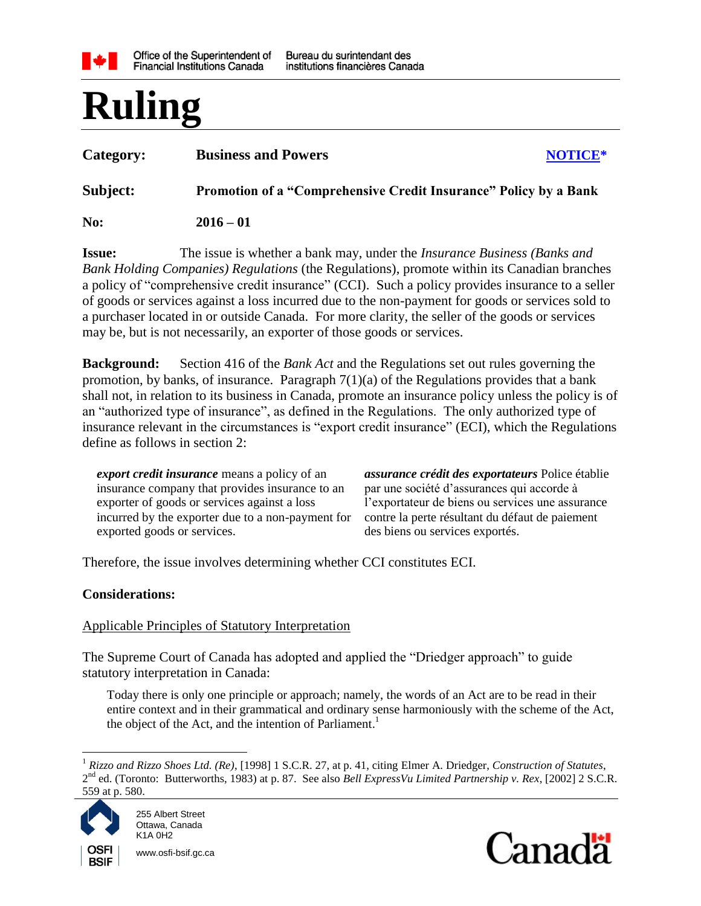

# **Ruling**

| Category: | <b>Business and Powers</b>                                       | NOTICE* |  |  |
|-----------|------------------------------------------------------------------|---------|--|--|
| Subject:  | Promotion of a "Comprehensive Credit Insurance" Policy by a Bank |         |  |  |
| No:       | $2016 - 01$                                                      |         |  |  |

**Issue:** The issue is whether a bank may, under the *Insurance Business (Banks and Bank Holding Companies) Regulations* (the Regulations), promote within its Canadian branches a policy of "comprehensive credit insurance" (CCI). Such a policy provides insurance to a seller of goods or services against a loss incurred due to the non-payment for goods or services sold to a purchaser located in or outside Canada. For more clarity, the seller of the goods or services may be, but is not necessarily, an exporter of those goods or services.

**Background:** Section 416 of the *Bank Act* and the Regulations set out rules governing the promotion, by banks, of insurance. Paragraph 7(1)(a) of the Regulations provides that a bank shall not, in relation to its business in Canada, promote an insurance policy unless the policy is of an "authorized type of insurance", as defined in the Regulations. The only authorized type of insurance relevant in the circumstances is "export credit insurance" (ECI), which the Regulations define as follows in section 2:

*export credit insurance* means a policy of an insurance company that provides insurance to an exporter of goods or services against a loss incurred by the exporter due to a non-payment for exported goods or services.

*assurance crédit des exportateurs* Police établie par une société d'assurances qui accorde à l'exportateur de biens ou services une assurance contre la perte résultant du défaut de paiement des biens ou services exportés.

Therefore, the issue involves determining whether CCI constitutes ECI.

### **Considerations:**

### Applicable Principles of Statutory Interpretation

The Supreme Court of Canada has adopted and applied the "Driedger approach" to guide statutory interpretation in Canada:

Today there is only one principle or approach; namely, the words of an Act are to be read in their entire context and in their grammatical and ordinary sense harmoniously with the scheme of the Act, the object of the Act, and the intention of Parliament.<sup>1</sup>

 $\overline{a}$ <sup>1</sup> *Rizzo and Rizzo Shoes Ltd. (Re)*, [1998] 1 S.C.R. 27, at p. 41, citing Elmer A. Driedger, *Construction of Statutes*, 2<sup>nd</sup> ed. (Toronto: Butterworths, 1983) at p. 87. See also *Bell ExpressVu Limited Partnership v. Rex*, [2002] 2 S.C.R. 559 at p. 580.



**BSIF** 

www.osfi-bsif.gc.ca

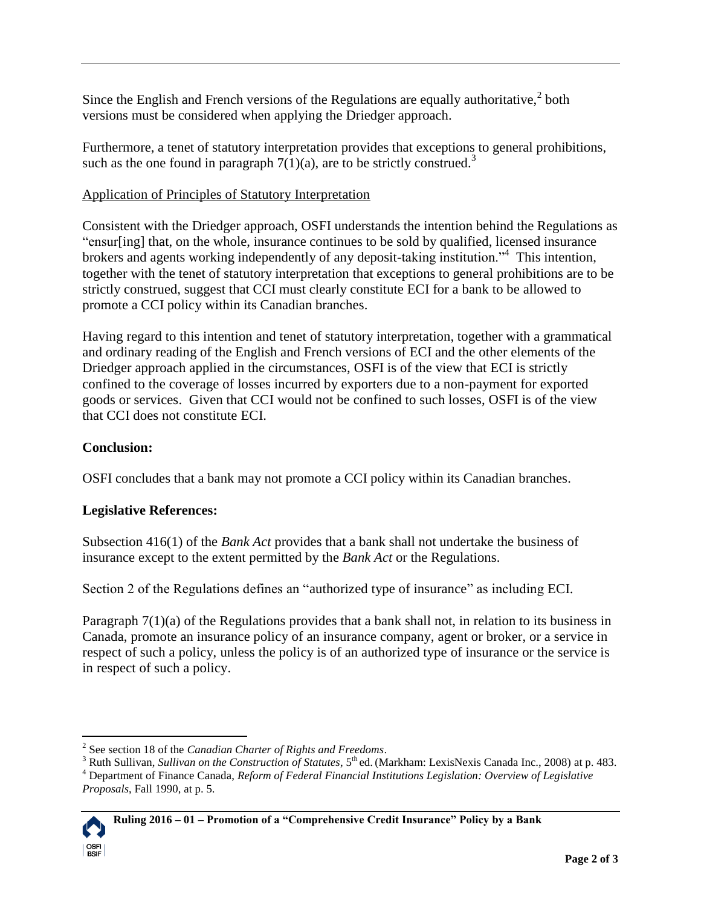Since the English and French versions of the Regulations are equally authoritative, $2$  both versions must be considered when applying the Driedger approach.

Furthermore, a tenet of statutory interpretation provides that exceptions to general prohibitions, such as the one found in paragraph  $7(1)(a)$ , are to be strictly construed.<sup>3</sup>

## Application of Principles of Statutory Interpretation

Consistent with the Driedger approach, OSFI understands the intention behind the Regulations as "ensur[ing] that, on the whole, insurance continues to be sold by qualified, licensed insurance brokers and agents working independently of any deposit-taking institution."<sup>4</sup> This intention, together with the tenet of statutory interpretation that exceptions to general prohibitions are to be strictly construed, suggest that CCI must clearly constitute ECI for a bank to be allowed to promote a CCI policy within its Canadian branches.

Having regard to this intention and tenet of statutory interpretation, together with a grammatical and ordinary reading of the English and French versions of ECI and the other elements of the Driedger approach applied in the circumstances, OSFI is of the view that ECI is strictly confined to the coverage of losses incurred by exporters due to a non-payment for exported goods or services. Given that CCI would not be confined to such losses, OSFI is of the view that CCI does not constitute ECI.

# **Conclusion:**

OSFI concludes that a bank may not promote a CCI policy within its Canadian branches.

# **Legislative References:**

Subsection 416(1) of the *Bank Act* provides that a bank shall not undertake the business of insurance except to the extent permitted by the *Bank Act* or the Regulations.

Section 2 of the Regulations defines an "authorized type of insurance" as including ECI.

Paragraph 7(1)(a) of the Regulations provides that a bank shall not, in relation to its business in Canada, promote an insurance policy of an insurance company, agent or broker, or a service in respect of such a policy, unless the policy is of an authorized type of insurance or the service is in respect of such a policy.

<sup>&</sup>lt;sup>3</sup> Ruth Sullivan, *Sullivan on the Construction of Statutes*, 5<sup>th</sup> ed. (Markham: LexisNexis Canada Inc., 2008) at p. 483. <sup>4</sup> Department of Finance Canada, *Reform of Federal Financial Institutions Legislation: Overview of Legislative Proposals*, Fall 1990, at p. 5.



 $\overline{a}$ 

<sup>2</sup> See section 18 of the *Canadian Charter of Rights and Freedoms*.